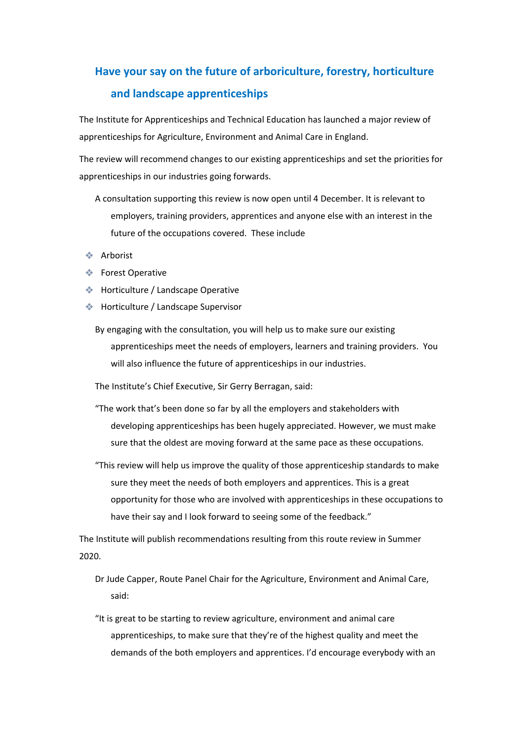## **Have your say on the future of arboriculture, forestry, horticulture and landscape apprenticeships**

The Institute for Apprenticeships and Technical Education has launched a major review of apprenticeships for Agriculture, Environment and Animal Care in England.

The review will recommend changes to our existing apprenticeships and set the priorities for apprenticeships in our industries going forwards.

- A consultation supporting this review is now open until 4 December. It is relevant to employers, training providers, apprentices and anyone else with an interest in the future of the occupations covered. These include
- ❖ Arborist
- ❖ Forest Operative
- ❖ Horticulture / Landscape Operative
- ❖ Horticulture / Landscape Supervisor
	- By engaging with the consultation, you will help us to make sure our existing apprenticeships meet the needs of employers, learners and training providers. You will also influence the future of apprenticeships in our industries.

The Institute's Chief Executive, Sir Gerry Berragan, said:

- "The work that's been done so far by all the employers and stakeholders with developing apprenticeships has been hugely appreciated. However, we must make sure that the oldest are moving forward at the same pace as these occupations.
- "This review will help us improve the quality of those apprenticeship standards to make sure they meet the needs of both employers and apprentices. This is a great opportunity for those who are involved with apprenticeships in these occupations to have their say and I look forward to seeing some of the feedback."

The Institute will publish recommendations resulting from this route review in Summer 2020.

- Dr Jude Capper, Route Panel Chair for the Agriculture, Environment and Animal Care, said:
- "It is great to be starting to review agriculture, environment and animal care apprenticeships, to make sure that they're of the highest quality and meet the demands of the both employers and apprentices. I'd encourage everybody with an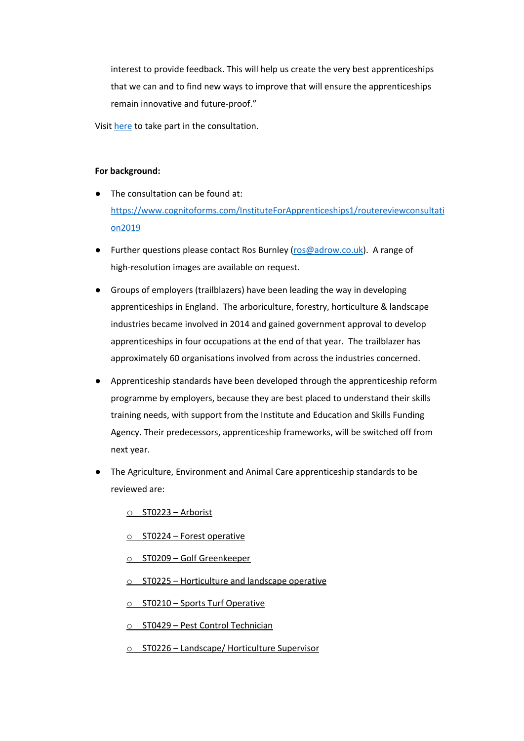interest to provide feedback. This will help us create the very best apprenticeships that we can and to find new ways to improve that will ensure the apprenticeships remain innovative and future-proof."

Visit [here](https://www.cognitoforms.com/InstituteForApprenticeships1/routereviewconsultation2019) to take part in the consultation.

## **For background:**

- The consultation can be found at: [https://www.cognitoforms.com/InstituteForApprenticeships1/routereviewconsultati](https://www.cognitoforms.com/InstituteForApprenticeships1/routereviewconsultation2019) [on2019](https://www.cognitoforms.com/InstituteForApprenticeships1/routereviewconsultation2019)
- Further questions please contact Ros Burnley [\(ros@adrow.co.uk](mailto:ros@adrow.co.uk)). A range of high-resolution images are available on request.
- Groups of employers (trailblazers) have been leading the way in developing apprenticeships in England. The arboriculture, forestry, horticulture & landscape industries became involved in 2014 and gained government approval to develop apprenticeships in four occupations at the end of that year. The trailblazer has approximately 60 organisations involved from across the industries concerned.
- Apprenticeship standards have been developed through the apprenticeship reform programme by employers, because they are best placed to understand their skills training needs, with support from the Institute and Education and Skills Funding Agency. Their predecessors, apprenticeship frameworks, will be switched off from next year.
- The Agriculture, Environment and Animal Care apprenticeship standards to be reviewed are:

o ST0223 – [Arborist](https://www.instituteforapprenticeships.org/apprenticeship-standards/arborist/)

- o ST0224 Forest [operative](https://www.instituteforapprenticeships.org/apprenticeship-standards/forest-operative/)
- o ST0209 Golf [Greenkeeper](https://www.instituteforapprenticeships.org/apprenticeship-standards/golf-greenkeeper/)
- o ST0225 [Horticulture](https://www.instituteforapprenticeships.org/apprenticeship-standards/horticulture-and-landscape-operative/) and landscape operative

o ST0210 – Sports Turf [Operative](https://www.instituteforapprenticeships.org/apprenticeship-standards/sports-turf-operative/)

- o ST0429 Pest Control [Technician](https://www.instituteforapprenticeships.org/apprenticeship-standards/pest-control-technician/)
- o ST0226 Landscape/ [Horticulture](https://www.instituteforapprenticeships.org/apprenticeship-standards/landscapehorticulture-supervisor/) Supervisor